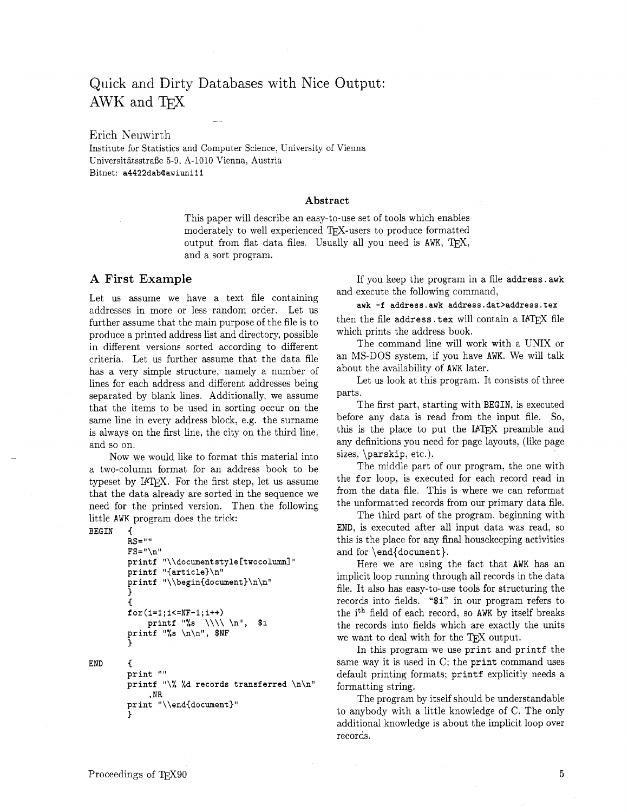# Quick and Dirty Databases with Nice Output: AWK and -

Erich Neuwirth Institute for Statistics and Computer Science. University of Vienna UniversitatsstraBe 5-9, A-1010 Vienna; Austria Bitnet: **a4422dabQawiunill** 

#### **Abstract**

This paper will describe an easy-to-use set of tools which enables moderately to well experienced TFX-users to produce formatted output from flat data files. Usually all you need is AWK,  $TFX$ , and a sort program.

### **A** First **Example**

Let us assume we have a text file containing addresses in more or less random order. Let us further assume that the main purpose of the file is to produce a printed address list and directory, possible in different versions sorted according to different criteria. Let us further assume that the data file has a very simple structure, namely a number of lines for each address and different addresses being separated by blank lines. Additionally, we assume that the items to be used in sorting occur on the same line in every address block, e.g. the surname is always on the first line, the city on the third line, and so on.

Now we would like to format this material into a two-column format for an address book to be typeset by IAT<sub>F</sub>X. For the first step, let us assume that the data already are sorted in the sequence we need for the printed version. Then the following little AWK program does the trick:

**BEGIN** {

```
RS=ll U
        FS="\n" 
        printf "\\documentstyle [twocolumn] " 
        printf "{article)\nl' 
        printf "\\begin{document)\n\n" 
         1 
         C 
         for(i=l;i<=NF-l;i++) 
             printf "%s \\\\ \n", $i 
        printf "%s \n\nN, $NF 
        3 
END { 
        print ""
        printf "\% %d records transferred \n\nl' 
             , NR 
        print "\\end{document)" 
         1
```
If you keep the program in a file address. awk and execute the following command,

#### **auk -f address.awk address.dat>address.tex**

then the file address. tex will contain a IATFX file which prints the address book.

The command line will work with a UNIX or an MS-DOS system, if you have AWK. We will talk about the availability of AWK later.

Let us look at this program. It consists of three parts.

The first part, starting with BEGIN. is executed before any data is read from the input file. So, this is the place to put the IATEX preamble and any definitions you need for page layouts, (like page sizes, \parskip, etc.).

The middle part of our program. the one with the for loop, is executed for each record read in from the data file. This is where we can reformat the unformatted records from our primary data file.

The third part of the program, beginning with END, is executed after all input data was read, so this is the place for any final housekeeping activities and for  $\end{document}$ .

Here we are using the fact that AWK has an implicit loop running through all records in the data file. It also has easy-to-use tools for structuring the records into fields. "\$i" in our program refers to the ith field of each record, so AWK by itself breaks the records into fields which are exactly the units we want to deal with for the TEX output.

In this program we use print and printf the same way it is used in C; the print command uses default printing formats; printf explicitly needs a formatting string.

The program by itself should be understandable to anybody with a little knowledge of C. The only additional knowledge is about the implicit loop over records.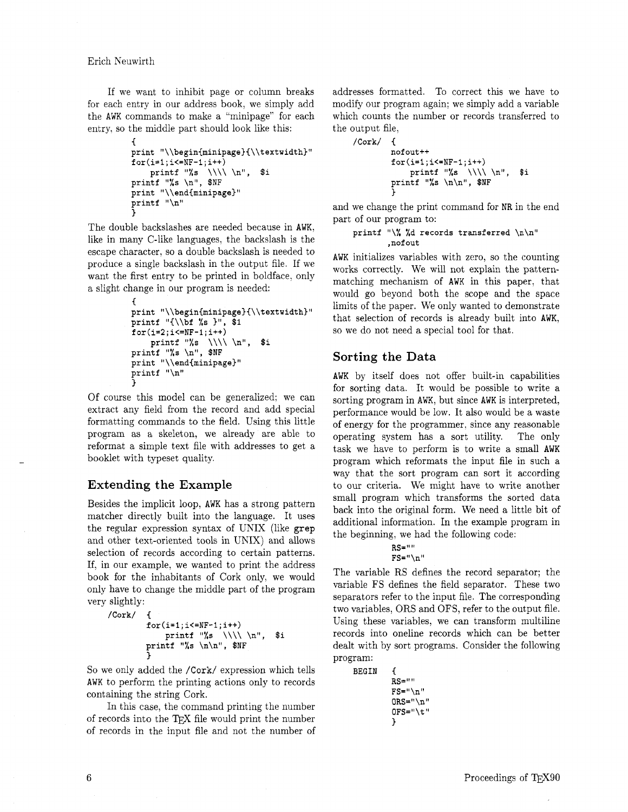Erich Neuwirth

If we want to inhibit page or column breaks for each entry in our address book, we simply add the AWK commands to make a "minipage" for each entry, so the middle part should look like this:

```
\overline{A}print "\\begin{minipage){\\textwidth)" 
for(i=l;i<=NF-l;i++) 
    printf "%s \\\\ \nn, $i 
printf "%s \n", $NF
print "\\end{minipage}"
printf "\n" 
1
```
The double backslashes are needed because in AWK, like in many C-like languages, the backslash is the escape character, so a double backslash is needed to produce a single backslash in the output file. If we want the first entry to be printed in boldface, only a slight change in our program is needed:

```
C 
print "\\begin(minipage}(\\textwidth)" 
printf "{\\bf %s I", $1 
for(i=2;i<=NF-l;i++) 
    printf "%s \\\\ \nI4, $i 
printf "%s \n", $NF
print "\\end{minipage}"
printf "\n" 
3
```
Of course this model can be generalized; we can extract any field from the record and add special formatting commands to the field. Using this little program as a skeleton, we already are able to reformat a simple text file with addresses to get a booklet with typeset quality.

## **Extending the Example**

Besides the implicit loop, AWK has a strong pattern matcher directly built into the language. It uses the regular expression syntax of UNIX (like **grep**  and other text-oriented tools in UNIX) and allows selection of records according to certain patterns. If, in our example, we wanted to print the address book for the inhabitants of Cork only, we would only have to change the middle part of the program very slightly:

```
/Cork/ C 
        for(i=l;i<=NF-l;i++) 
            printf "%s \\\\ \nW, $i 
        printf "%s \n\n", $NF 
        3
```
So we only added the **/Cork/** expression which tells AWK to perform the printing actions only to records containing the string Cork.

In this case, the command printing the number of records into the TFX file would print the number of records in the input file and not the number of addresses formatted. To correct this we have to modify our program again; we simply add a variable which counts the number or records transferred to the output file,

```
/Cork/ C 
        nof out++ 
        for(i=l;iC=NF-l;i++) 
            printf "%s \\\\ \n", $i 
        printf "%s \n\n", $NF
         3
```
and we change the print command for NR in the end part of our program to:

#### **printf** "\% **Xd records transferred \n\n"**  , **nof out**

AWK initializes variables with zero, so the counting works correctly. We will not explain the patternmatching mechanism of AWK in this paper, that would go beyond both the scope and the space limits of the paper. We only wanted to demonstrate that selection of records is already built into AWK, so we do not need a special tool for that.

## **Sorting the Data**

AWK by itself does not offer built-in capabilities for sorting data. It would be possible to write a sorting program in AWK, but since AWK is interpreted, performance would be low. It also would be a waste of energy for the programmer. since any reasonable operating system has a sort utility. The only task we have to perform is to write a small AWK program which reformats the input file in such a way that the sort program can sort it according to our criteria. We might have to write another small program which transforms the sorted data back into the original form. We need a little bit of additional information. In the example program in the beginning, we had the following code:

#### $RS = 11R$ **FS="\n"**

The variable RS defines the record separator; the variable FS defines the field separator. These two separators refer to the input file. The corresponding two variables, ORS and OFS, refer to the output file. Using these variables, we can transform multiline records into oneline records which can be better dealt with by sort programs. Consider the following program:

| BEGIN |                |
|-------|----------------|
|       | $RS = 111$     |
|       | $FS = "\n"$    |
|       | $0RS = "\\ n"$ |
|       |                |
|       | ŀ              |
|       |                |